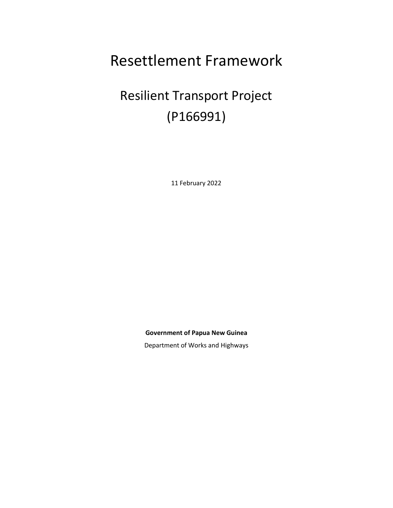# Resettlement Framework

# Resilient Transport Project (P166991)

11 February 2022

**Government of Papua New Guinea**

Department of Works and Highways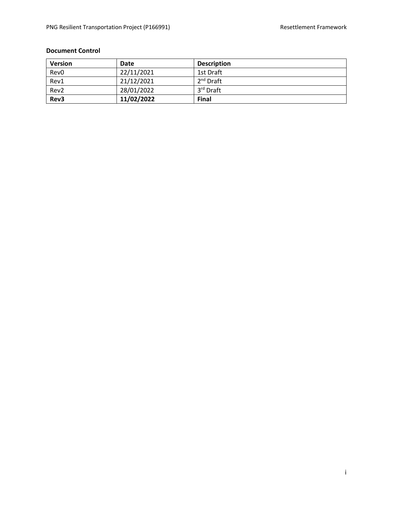### **Document Control**

| <b>Version</b>   | Date       | <b>Description</b> |
|------------------|------------|--------------------|
| Rev <sub>0</sub> | 22/11/2021 | 1st Draft          |
| Rev1             | 21/12/2021 | $2nd$ Draft        |
| Rev2             | 28/01/2022 | 3rd Draft          |
| Rev3             | 11/02/2022 | Final              |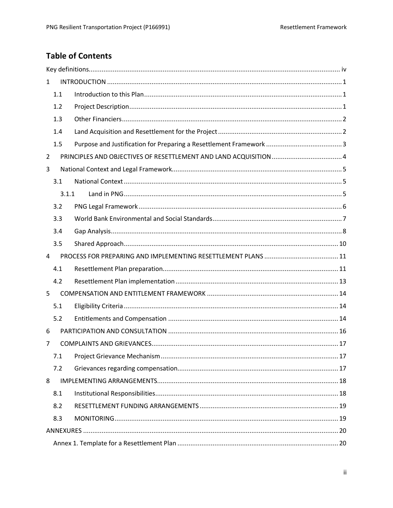# **Table of Contents**

|                | 1              |  |  |  |
|----------------|----------------|--|--|--|
|                | 1.1            |  |  |  |
|                | 1.2            |  |  |  |
|                | 1.3            |  |  |  |
|                | 1.4            |  |  |  |
|                | 1.5            |  |  |  |
| $\overline{2}$ |                |  |  |  |
| 3              |                |  |  |  |
|                | 3.1            |  |  |  |
|                | 3.1.1          |  |  |  |
|                | 3.2            |  |  |  |
|                | 3.3            |  |  |  |
|                | 3.4            |  |  |  |
|                | 3.5            |  |  |  |
| 4              |                |  |  |  |
|                | 4.1            |  |  |  |
|                | 4.2            |  |  |  |
| 5              |                |  |  |  |
|                | 5.1            |  |  |  |
|                | 5.2            |  |  |  |
| 6              |                |  |  |  |
|                | $\overline{7}$ |  |  |  |
|                |                |  |  |  |
|                | 7.2            |  |  |  |
| 8              |                |  |  |  |
|                | 8.1            |  |  |  |
|                | 8.2            |  |  |  |
|                | 8.3            |  |  |  |
|                |                |  |  |  |
|                |                |  |  |  |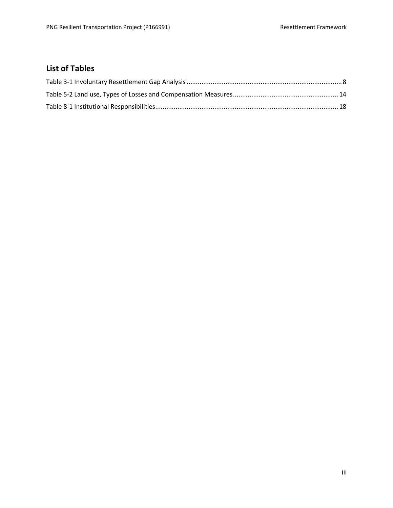# **List of Tables**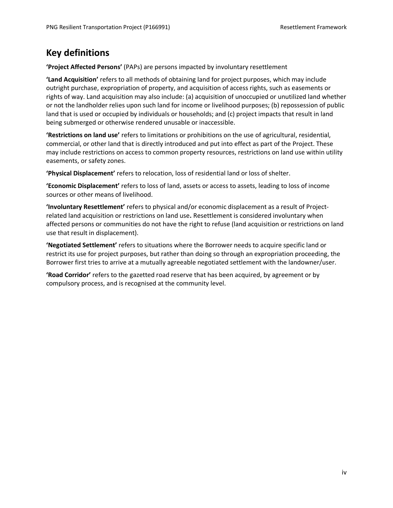# <span id="page-4-0"></span>**Key definitions**

**'Project Affected Persons'** (PAPs) are persons impacted by involuntary resettlement

**'Land Acquisition'** refers to all methods of obtaining land for project purposes, which may include outright purchase, expropriation of property, and acquisition of access rights, such as easements or rights of way. Land acquisition may also include: (a) acquisition of unoccupied or unutilized land whether or not the landholder relies upon such land for income or livelihood purposes; (b) repossession of public land that is used or occupied by individuals or households; and (c) project impacts that result in land being submerged or otherwise rendered unusable or inaccessible.

**'Restrictions on land use'** refers to limitations or prohibitions on the use of agricultural, residential, commercial, or other land that is directly introduced and put into effect as part of the Project. These may include restrictions on access to common property resources, restrictions on land use within utility easements, or safety zones.

**'Physical Displacement'** refers to relocation, loss of residential land or loss of shelter.

**'Economic Displacement'** refers to loss of land, assets or access to assets, leading to loss of income sources or other means of livelihood.

**'Involuntary Resettlement'** refers to physical and/or economic displacement as a result of Projectrelated land acquisition or restrictions on land use**.** Resettlement is considered involuntary when affected persons or communities do not have the right to refuse (land acquisition or restrictions on land use that result in displacement).

**'Negotiated Settlement'** refers to situations where the Borrower needs to acquire specific land or restrict its use for project purposes, but rather than doing so through an expropriation proceeding, the Borrower first tries to arrive at a mutually agreeable negotiated settlement with the landowner/user.

**'Road Corridor'** refers to the gazetted road reserve that has been acquired, by agreement or by compulsory process, and is recognised at the community level.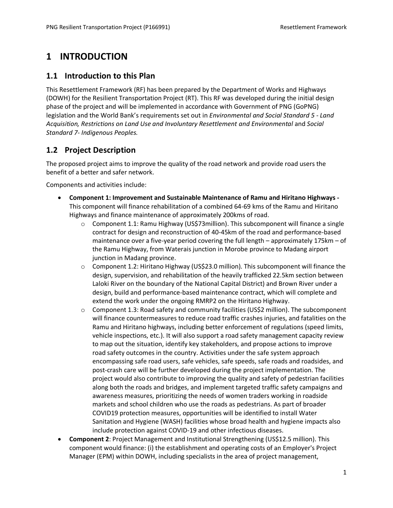# <span id="page-5-0"></span>**1 INTRODUCTION**

### <span id="page-5-1"></span>**1.1 Introduction to this Plan**

This Resettlement Framework (RF) has been prepared by the Department of Works and Highways (DOWH) for the Resilient Transportation Project (RT). This RF was developed during the initial design phase of the project and will be implemented in accordance with Government of PNG (GoPNG) legislation and the World Bank's requirements set out in *Environmental and Social Standard 5 - Land Acquisition, Restrictions on Land Use and Involuntary Resettlement and Environmental* and *Social Standard 7- Indigenous Peoples.*

# <span id="page-5-2"></span>**1.2 Project Description**

The proposed project aims to improve the quality of the road network and provide road users the benefit of a better and safer network.

Components and activities include:

- **Component 1: Improvement and Sustainable Maintenance of Ramu and Hiritano Highways -** This component will finance rehabilitation of a combined 64-69 kms of the Ramu and Hiritano Highways and finance maintenance of approximately 200kms of road.
	- $\circ$  Component 1.1: Ramu Highway (US\$73 million). This subcomponent will finance a single contract for design and reconstruction of 40-45km of the road and performance-based maintenance over a five-year period covering the full length – approximately 175km – of the Ramu Highway, from Waterais junction in Morobe province to Madang airport junction in Madang province.
	- o Component 1.2: Hiritano Highway (US\$23.0 million). This subcomponent will finance the design, supervision, and rehabilitation of the heavily trafficked 22.5km section between Laloki River on the boundary of the National Capital District) and Brown River under a design, build and performance-based maintenance contract, which will complete and extend the work under the ongoing RMRP2 on the Hiritano Highway.
	- $\circ$  Component 1.3: Road safety and community facilities (US\$2 million). The subcomponent will finance countermeasures to reduce road traffic crashes injuries, and fatalities on the Ramu and Hiritano highways, including better enforcement of regulations (speed limits, vehicle inspections, etc.). It will also support a road safety management capacity review to map out the situation, identify key stakeholders, and propose actions to improve road safety outcomes in the country. Activities under the safe system approach encompassing safe road users, safe vehicles, safe speeds, safe roads and roadsides, and post-crash care will be further developed during the project implementation. The project would also contribute to improving the quality and safety of pedestrian facilities along both the roads and bridges, and implement targeted traffic safety campaigns and awareness measures, prioritizing the needs of women traders working in roadside markets and school children who use the roads as pedestrians. As part of broader COVID19 protection measures, opportunities will be identified to install Water Sanitation and Hygiene (WASH) facilities whose broad health and hygiene impacts also include protection against COVID-19 and other infectious diseases.
- **Component 2**: Project Management and Institutional Strengthening (US\$12.5 million). This component would finance: (i) the establishment and operating costs of an Employer's Project Manager (EPM) within DOWH, including specialists in the area of project management,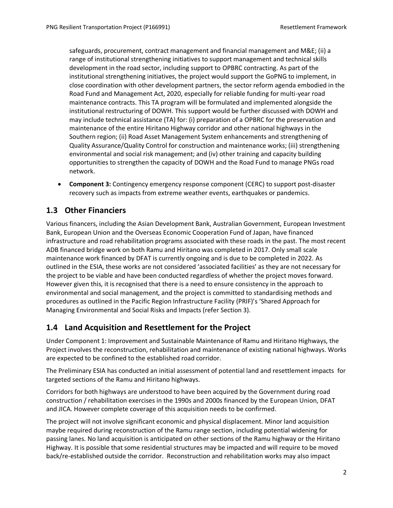safeguards, procurement, contract management and financial management and M&E; (ii) a range of institutional strengthening initiatives to support management and technical skills development in the road sector, including support to OPBRC contracting. As part of the institutional strengthening initiatives, the project would support the GoPNG to implement, in close coordination with other development partners, the sector reform agenda embodied in the Road Fund and Management Act, 2020, especially for reliable funding for multi-year road maintenance contracts. This TA program will be formulated and implemented alongside the institutional restructuring of DOWH. This support would be further discussed with DOWH and may include technical assistance (TA) for: (i) preparation of a OPBRC for the preservation and maintenance of the entire Hiritano Highway corridor and other national highways in the Southern region; (ii) Road Asset Management System enhancements and strengthening of Quality Assurance/Quality Control for construction and maintenance works; (iii) strengthening environmental and social risk management; and (iv) other training and capacity building opportunities to strengthen the capacity of DOWH and the Road Fund to manage PNGs road network.

• **Component 3:** Contingency emergency response component (CERC) to support post-disaster recovery such as impacts from extreme weather events, earthquakes or pandemics.

# <span id="page-6-0"></span>**1.3 Other Financiers**

Various financers, including the Asian Development Bank, Australian Government, European Investment Bank, European Union and the Overseas Economic Cooperation Fund of Japan, have financed infrastructure and road rehabilitation programs associated with these roads in the past. The most recent ADB financed bridge work on both Ramu and Hiritano was completed in 2017. Only small scale maintenance work financed by DFAT is currently ongoing and is due to be completed in 2022. As outlined in the ESIA, these works are not considered 'associated facilities' as they are not necessary for the project to be viable and have been conducted regardless of whether the project moves forward. However given this, it is recognised that there is a need to ensure consistency in the approach to environmental and social management, and the project is committed to standardising methods and procedures as outlined in the Pacific Region Infrastructure Facility (PRIF)'s 'Shared Approach for Managing Environmental and Social Risks and Impacts (refer Section 3).

### <span id="page-6-1"></span>**1.4 Land Acquisition and Resettlement for the Project**

Under Component 1: Improvement and Sustainable Maintenance of Ramu and Hiritano Highways, the Project involves the reconstruction, rehabilitation and maintenance of existing national highways. Works are expected to be confined to the established road corridor.

The Preliminary ESIA has conducted an initial assessment of potential land and resettlement impacts for targeted sections of the Ramu and Hiritano highways.

Corridors for both highways are understood to have been acquired by the Government during road construction / rehabilitation exercises in the 1990s and 2000s financed by the European Union, DFAT and JICA. However complete coverage of this acquisition needs to be confirmed.

The project will not involve significant economic and physical displacement. Minor land acquisition maybe required during reconstruction of the Ramu range section, including potential widening for passing lanes. No land acquisition is anticipated on other sections of the Ramu highway or the Hiritano Highway. It is possible that some residential structures may be impacted and will require to be moved back/re-established outside the corridor. Reconstruction and rehabilitation works may also impact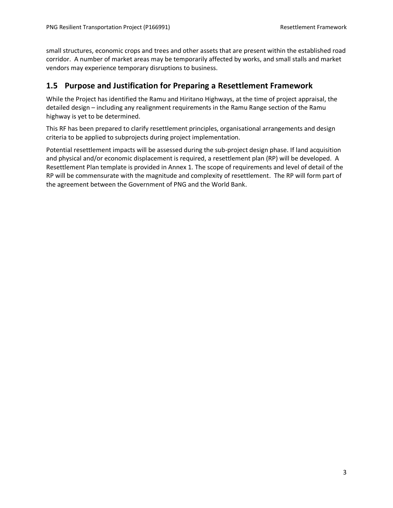small structures, economic crops and trees and other assets that are present within the established road corridor. A number of market areas may be temporarily affected by works, and small stalls and market vendors may experience temporary disruptions to business.

### <span id="page-7-0"></span>**1.5 Purpose and Justification for Preparing a Resettlement Framework**

While the Project has identified the Ramu and Hiritano Highways, at the time of project appraisal, the detailed design – including any realignment requirements in the Ramu Range section of the Ramu highway is yet to be determined.

This RF has been prepared to clarify resettlement principles, organisational arrangements and design criteria to be applied to subprojects during project implementation.

Potential resettlement impacts will be assessed during the sub-project design phase. If land acquisition and physical and/or economic displacement is required, a resettlement plan (RP) will be developed. A Resettlement Plan template is provided in Annex 1. The scope of requirements and level of detail of the RP will be commensurate with the magnitude and complexity of resettlement. The RP will form part of the agreement between the Government of PNG and the World Bank.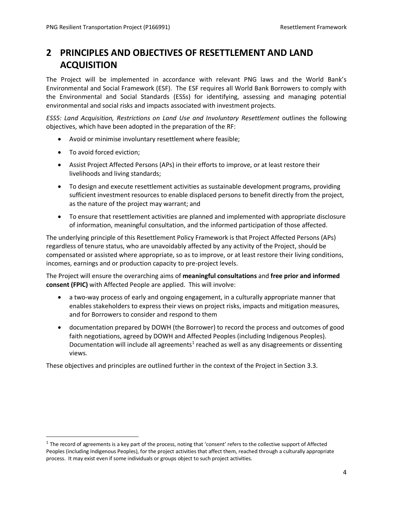# <span id="page-8-0"></span>**2 PRINCIPLES AND OBJECTIVES OF RESETTLEMENT AND LAND ACQUISITION**

The Project will be implemented in accordance with relevant PNG laws and the World Bank's Environmental and Social Framework (ESF). The ESF requires all World Bank Borrowers to comply with the Environmental and Social Standards (ESSs) for identifying, assessing and managing potential environmental and social risks and impacts associated with investment projects.

*ESS5: Land Acquisition, Restrictions on Land Use and Involuntary Resettlement* outlines the following objectives, which have been adopted in the preparation of the RF:

- Avoid or minimise involuntary resettlement where feasible;
- To avoid forced eviction;
- Assist Project Affected Persons (APs) in their efforts to improve, or at least restore their livelihoods and living standards;
- To design and execute resettlement activities as sustainable development programs, providing sufficient investment resources to enable displaced persons to benefit directly from the project, as the nature of the project may warrant; and
- To ensure that resettlement activities are planned and implemented with appropriate disclosure of information, meaningful consultation, and the informed participation of those affected.

The underlying principle of this Resettlement Policy Framework is that Project Affected Persons (APs) regardless of tenure status, who are unavoidably affected by any activity of the Project, should be compensated or assisted where appropriate, so as to improve, or at least restore their living conditions, incomes, earnings and or production capacity to pre-project levels.

The Project will ensure the overarching aims of **meaningful consultations** and **free prior and informed consent (FPIC)** with Affected People are applied. This will involve:

- a two-way process of early and ongoing engagement, in a culturally appropriate manner that enables stakeholders to express their views on project risks, impacts and mitigation measures, and for Borrowers to consider and respond to them
- documentation prepared by DOWH (the Borrower) to record the process and outcomes of good faith negotiations, agreed by DOWH and Affected Peoples (including Indigenous Peoples). Documentation will include all agreements<sup>1</sup> reached as well as any disagreements or dissenting views.

These objectives and principles are outlined further in the context of the Project in Section 3.3.

 $1$  The record of agreements is a key part of the process, noting that 'consent' refers to the collective support of Affected Peoples (including Indigenous Peoples), for the project activities that affect them, reached through a culturally appropriate process. It may exist even if some individuals or groups object to such project activities.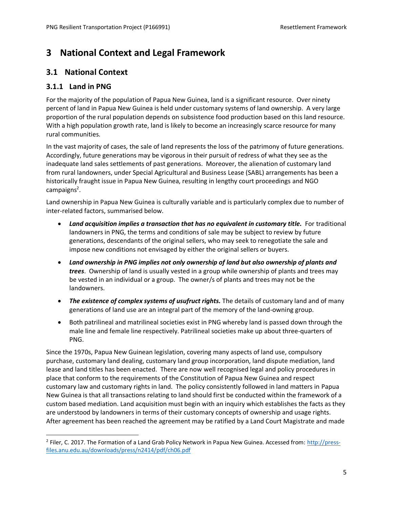# <span id="page-9-0"></span>**3 National Context and Legal Framework**

### <span id="page-9-1"></span>**3.1 National Context**

### <span id="page-9-2"></span>**3.1.1 Land in PNG**

For the majority of the population of Papua New Guinea, land is a significant resource. Over ninety percent of land in Papua New Guinea is held under customary systems of land ownership. A very large proportion of the rural population depends on subsistence food production based on this land resource. With a high population growth rate, land is likely to become an increasingly scarce resource for many rural communities.

In the vast majority of cases, the sale of land represents the loss of the patrimony of future generations. Accordingly, future generations may be vigorous in their pursuit of redress of what they see as the inadequate land sales settlements of past generations. Moreover, the alienation of customary land from rural landowners, under Special Agricultural and Business Lease (SABL) arrangements has been a historically fraught issue in Papua New Guinea, resulting in lengthy court proceedings and NGO campaigns<sup>2</sup>.

Land ownership in Papua New Guinea is culturally variable and is particularly complex due to number of inter-related factors, summarised below.

- *Land acquisition implies a transaction that has no equivalent in customary title.* For traditional landowners in PNG, the terms and conditions of sale may be subject to review by future generations, descendants of the original sellers, who may seek to renegotiate the sale and impose new conditions not envisaged by either the original sellers or buyers.
- *Land ownership in PNG implies not only ownership of land but also ownership of plants and trees*. Ownership of land is usually vested in a group while ownership of plants and trees may be vested in an individual or a group. The owner/s of plants and trees may not be the landowners.
- *The existence of complex systems of usufruct rights.* The details of customary land and of many generations of land use are an integral part of the memory of the land-owning group.
- Both patrilineal and matrilineal societies exist in PNG whereby land is passed down through the male line and female line respectively. Patrilineal societies make up about three-quarters of PNG.

Since the 1970s, Papua New Guinean legislation, covering many aspects of land use, compulsory purchase, customary land dealing, customary land group incorporation, land dispute mediation, land lease and land titles has been enacted. There are now well recognised legal and policy procedures in place that conform to the requirements of the Constitution of Papua New Guinea and respect customary law and customary rights in land. The policy consistently followed in land matters in Papua New Guinea is that all transactions relating to land should first be conducted within the framework of a custom based mediation. Land acquisition must begin with an inquiry which establishes the facts as they are understood by landowners in terms of their customary concepts of ownership and usage rights. After agreement has been reached the agreement may be ratified by a Land Court Magistrate and made

<sup>&</sup>lt;sup>2</sup> Filer, C. 2017. The Formation of a Land Grab Policy Network in Papua New Guinea. Accessed from: [http://press](http://press-files.anu.edu.au/downloads/press/n2414/pdf/ch06.pdf)[files.anu.edu.au/downloads/press/n2414/pdf/ch06.pdf](http://press-files.anu.edu.au/downloads/press/n2414/pdf/ch06.pdf)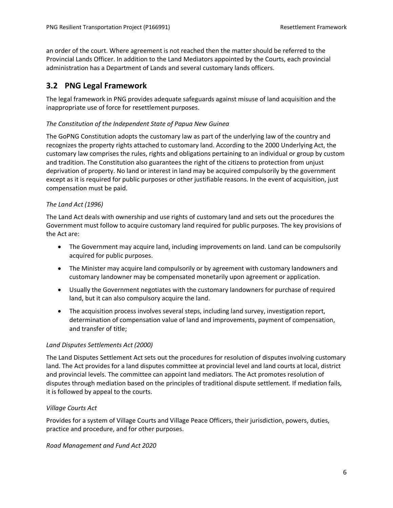an order of the court. Where agreement is not reached then the matter should be referred to the Provincial Lands Officer. In addition to the Land Mediators appointed by the Courts, each provincial administration has a Department of Lands and several customary lands officers.

### <span id="page-10-0"></span>**3.2 PNG Legal Framework**

The legal framework in PNG provides adequate safeguards against misuse of land acquisition and the inappropriate use of force for resettlement purposes.

#### *The Constitution of the Independent State of Papua New Guinea*

The GoPNG Constitution adopts the customary law as part of the underlying law of the country and recognizes the property rights attached to customary land. According to the 2000 Underlying Act, the customary law comprises the rules, rights and obligations pertaining to an individual or group by custom and tradition. The Constitution also guarantees the right of the citizens to protection from unjust deprivation of property. No land or interest in land may be acquired compulsorily by the government except as it is required for public purposes or other justifiable reasons. In the event of acquisition, just compensation must be paid.

#### *The Land Act (1996)*

The Land Act deals with ownership and use rights of customary land and sets out the procedures the Government must follow to acquire customary land required for public purposes. The key provisions of the Act are:

- The Government may acquire land, including improvements on land. Land can be compulsorily acquired for public purposes.
- The Minister may acquire land compulsorily or by agreement with customary landowners and customary landowner may be compensated monetarily upon agreement or application.
- Usually the Government negotiates with the customary landowners for purchase of required land, but it can also compulsory acquire the land.
- The acquisition process involves several steps, including land survey, investigation report, determination of compensation value of land and improvements, payment of compensation, and transfer of title;

#### *Land Disputes Settlements Act (2000)*

The Land Disputes Settlement Act sets out the procedures for resolution of disputes involving customary land. The Act provides for a land disputes committee at provincial level and land courts at local, district and provincial levels. The committee can appoint land mediators. The Act promotes resolution of disputes through mediation based on the principles of traditional dispute settlement. If mediation fails, it is followed by appeal to the courts.

#### *Village Courts Act*

Provides for a system of Village Courts and Village Peace Officers, their jurisdiction, powers, duties, practice and procedure, and for other purposes.

#### *Road Management and Fund Act 2020*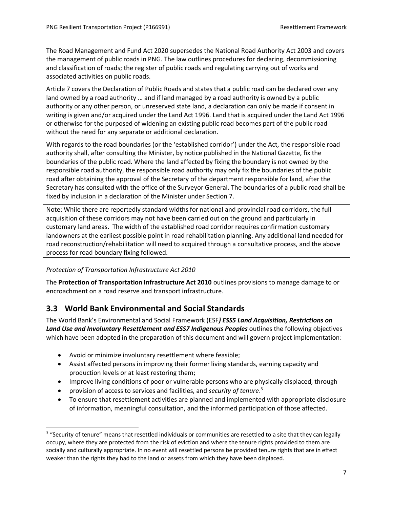The Road Management and Fund Act 2020 supersedes the National Road Authority Act 2003 and covers the management of public roads in PNG. The law outlines procedures for declaring, decommissioning and classification of roads; the register of public roads and regulating carrying out of works and associated activities on public roads.

Article 7 covers the Declaration of Public Roads and states that a public road can be declared over any land owned by a road authority … and if land managed by a road authority is owned by a public authority or any other person, or unreserved state land, a declaration can only be made if consent in writing is given and/or acquired under the Land Act 1996. Land that is acquired under the Land Act 1996 or otherwise for the purposed of widening an existing public road becomes part of the public road without the need for any separate or additional declaration.

With regards to the road boundaries (or the 'established corridor') under the Act, the responsible road authority shall, after consulting the Minister, by notice published in the National Gazette, fix the boundaries of the public road. Where the land affected by fixing the boundary is not owned by the responsible road authority, the responsible road authority may only fix the boundaries of the public road after obtaining the approval of the Secretary of the department responsible for land, after the Secretary has consulted with the office of the Surveyor General. The boundaries of a public road shall be fixed by inclusion in a declaration of the Minister under Section 7.

Note: While there are reportedly standard widths for national and provincial road corridors, the full acquisition of these corridors may not have been carried out on the ground and particularly in customary land areas. The width of the established road corridor requires confirmation customary landowners at the earliest possible point in road rehabilitation planning. Any additional land needed for road reconstruction/rehabilitation will need to acquired through a consultative process, and the above process for road boundary fixing followed.

#### *Protection of Transportation Infrastructure Act 2010*

The **Protection of Transportation Infrastructure Act 2010** outlines provisions to manage damage to or encroachment on a road reserve and transport infrastructure.

### <span id="page-11-0"></span>**3.3 World Bank Environmental and Social Standards**

The World Bank's Environmental and Social Framework (ESF*) ESS5 Land Acquisition, Restrictions on Land Use and Involuntary Resettlement and ESS7 Indigenous Peoples* outlines the following objectives which have been adopted in the preparation of this document and will govern project implementation:

- Avoid or minimize involuntary resettlement where feasible;
- Assist affected persons in improving their former living standards, earning capacity and production levels or at least restoring them;
- Improve living conditions of poor or vulnerable persons who are physically displaced, through
- provision of access to services and facilities, and *security of tenure*. 3
- To ensure that resettlement activities are planned and implemented with appropriate disclosure of information, meaningful consultation, and the informed participation of those affected.

<sup>&</sup>lt;sup>3</sup> "Security of tenure" means that resettled individuals or communities are resettled to a site that they can legally occupy, where they are protected from the risk of eviction and where the tenure rights provided to them are socially and culturally appropriate. In no event will resettled persons be provided tenure rights that are in effect weaker than the rights they had to the land or assets from which they have been displaced.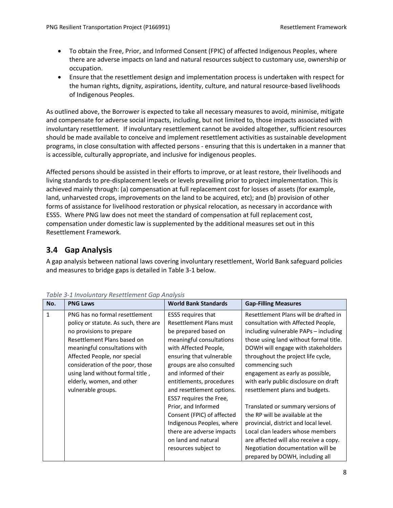- To obtain the Free, Prior, and Informed Consent (FPIC) of affected Indigenous Peoples, where there are adverse impacts on land and natural resources subject to customary use, ownership or occupation.
- Ensure that the resettlement design and implementation process is undertaken with respect for the human rights, dignity, aspirations, identity, culture, and natural resource-based livelihoods of Indigenous Peoples.

As outlined above, the Borrower is expected to take all necessary measures to avoid, minimise, mitigate and compensate for adverse social impacts, including, but not limited to, those impacts associated with involuntary resettlement. If involuntary resettlement cannot be avoided altogether, sufficient resources should be made available to conceive and implement resettlement activities as sustainable development programs, in close consultation with affected persons - ensuring that this is undertaken in a manner that is accessible, culturally appropriate, and inclusive for indigenous peoples.

Affected persons should be assisted in their efforts to improve, or at least restore, their livelihoods and living standards to pre-displacement levels or levels prevailing prior to project implementation. This is achieved mainly through: (a) compensation at full replacement cost for losses of assets (for example, land, unharvested crops, improvements on the land to be acquired, etc); and (b) provision of other forms of assistance for livelihood restoration or physical relocation, as necessary in accordance with ESS5. Where PNG law does not meet the standard of compensation at full replacement cost, compensation under domestic law is supplemented by the additional measures set out in this Resettlement Framework.

# <span id="page-12-0"></span>**3.4 Gap Analysis**

A gap analysis between national laws covering involuntary resettlement, World Bank safeguard policies and measures to bridge gaps is detailed in [Table 3-1](#page-12-1) below.

| No. | <b>PNG Laws</b>                       | <b>World Bank Standards</b> | <b>Gap-Filling Measures</b>            |
|-----|---------------------------------------|-----------------------------|----------------------------------------|
| 1   | PNG has no formal resettlement        | ESS5 requires that          | Resettlement Plans will be drafted in  |
|     | policy or statute. As such, there are | Resettlement Plans must     | consultation with Affected People,     |
|     | no provisions to prepare              | be prepared based on        | including vulnerable PAPs - including  |
|     | Resettlement Plans based on           | meaningful consultations    | those using land without formal title. |
|     | meaningful consultations with         | with Affected People,       | DOWH will engage with stakeholders     |
|     | Affected People, nor special          | ensuring that vulnerable    | throughout the project life cycle,     |
|     | consideration of the poor, those      | groups are also consulted   | commencing such                        |
|     | using land without formal title,      | and informed of their       | engagement as early as possible,       |
|     | elderly, women, and other             | entitlements, procedures    | with early public disclosure on draft  |
|     | vulnerable groups.                    | and resettlement options.   | resettlement plans and budgets.        |
|     |                                       | ESS7 requires the Free,     |                                        |
|     |                                       | Prior, and Informed         | Translated or summary versions of      |
|     |                                       | Consent (FPIC) of affected  | the RP will be available at the        |
|     |                                       | Indigenous Peoples, where   | provincial, district and local level.  |
|     |                                       | there are adverse impacts   | Local clan leaders whose members       |
|     |                                       | on land and natural         | are affected will also receive a copy. |
|     |                                       | resources subject to        | Negotiation documentation will be      |
|     |                                       |                             | prepared by DOWH, including all        |

<span id="page-12-1"></span>*Table 3-1 Involuntary Resettlement Gap Analysis*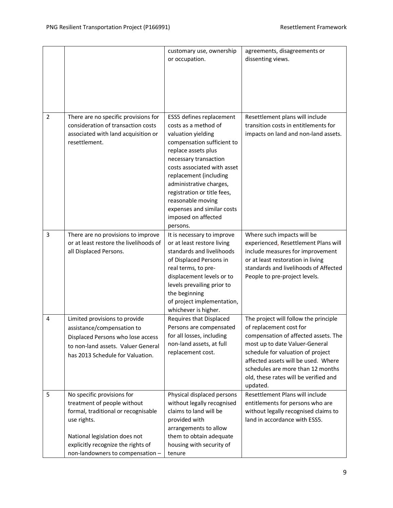|                |                                                                                                                                                                                                                            | customary use, ownership<br>or occupation.                                                                                                                                                                                                                                                                                                                    | agreements, disagreements or<br>dissenting views.                                                                                                                                                                                                                                                                |
|----------------|----------------------------------------------------------------------------------------------------------------------------------------------------------------------------------------------------------------------------|---------------------------------------------------------------------------------------------------------------------------------------------------------------------------------------------------------------------------------------------------------------------------------------------------------------------------------------------------------------|------------------------------------------------------------------------------------------------------------------------------------------------------------------------------------------------------------------------------------------------------------------------------------------------------------------|
| $\overline{2}$ | There are no specific provisions for<br>consideration of transaction costs<br>associated with land acquisition or<br>resettlement.                                                                                         | ESS5 defines replacement<br>costs as a method of<br>valuation yielding<br>compensation sufficient to<br>replace assets plus<br>necessary transaction<br>costs associated with asset<br>replacement (including<br>administrative charges,<br>registration or title fees,<br>reasonable moving<br>expenses and similar costs<br>imposed on affected<br>persons. | Resettlement plans will include<br>transition costs in entitlements for<br>impacts on land and non-land assets.                                                                                                                                                                                                  |
| $\overline{3}$ | There are no provisions to improve<br>or at least restore the livelihoods of<br>all Displaced Persons.                                                                                                                     | It is necessary to improve<br>or at least restore living<br>standards and livelihoods<br>of Displaced Persons in<br>real terms, to pre-<br>displacement levels or to<br>levels prevailing prior to<br>the beginning<br>of project implementation,<br>whichever is higher.                                                                                     | Where such impacts will be<br>experienced, Resettlement Plans will<br>include measures for improvement<br>or at least restoration in living<br>standards and livelihoods of Affected<br>People to pre-project levels.                                                                                            |
| 4              | Limited provisions to provide<br>assistance/compensation to<br>Displaced Persons who lose access<br>to non-land assets. Valuer General<br>has 2013 Schedule for Valuation.                                                 | Requires that Displaced<br>Persons are compensated<br>for all losses, including<br>non-land assets, at full<br>replacement cost.                                                                                                                                                                                                                              | The project will follow the principle<br>of replacement cost for<br>compensation of affected assets. The<br>most up to date Valuer-General<br>schedule for valuation of project<br>affected assets will be used. Where<br>schedules are more than 12 months<br>old, these rates will be verified and<br>updated. |
| 5              | No specific provisions for<br>treatment of people without<br>formal, traditional or recognisable<br>use rights.<br>National legislation does not<br>explicitly recognize the rights of<br>non-landowners to compensation - | Physical displaced persons<br>without legally recognised<br>claims to land will be<br>provided with<br>arrangements to allow<br>them to obtain adequate<br>housing with security of<br>tenure                                                                                                                                                                 | Resettlement Plans will include<br>entitlements for persons who are<br>without legally recognised claims to<br>land in accordance with ESS5.                                                                                                                                                                     |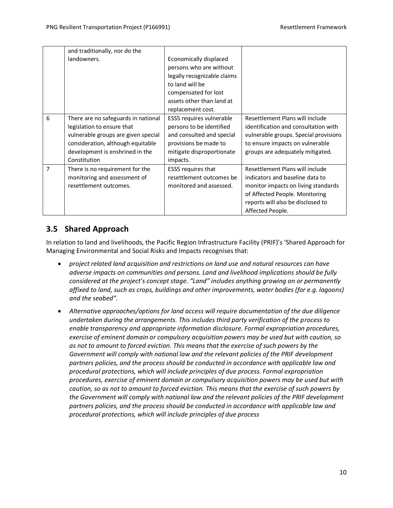|                | and traditionally, nor do the                                                                                                                                                                    |                                                                                                                                                                               |                                                                                                                                                                                                      |
|----------------|--------------------------------------------------------------------------------------------------------------------------------------------------------------------------------------------------|-------------------------------------------------------------------------------------------------------------------------------------------------------------------------------|------------------------------------------------------------------------------------------------------------------------------------------------------------------------------------------------------|
|                | landowners.                                                                                                                                                                                      | Economically displaced<br>persons who are without<br>legally recognizable claims<br>to land will be<br>compensated for lost<br>assets other than land at<br>replacement cost. |                                                                                                                                                                                                      |
| 6              | There are no safeguards in national<br>legislation to ensure that<br>vulnerable groups are given special<br>consideration, although equitable<br>development is enshrined in the<br>Constitution | ESS5 requires vulnerable<br>persons to be identified<br>and consulted and special<br>provisions be made to<br>mitigate disproportionate<br>impacts.                           | Resettlement Plans will include<br>identification and consultation with<br>vulnerable groups. Special provisions<br>to ensure impacts on vulnerable<br>groups are adequately mitigated.              |
| $\overline{7}$ | There is no requirement for the<br>monitoring and assessment of<br>resettlement outcomes.                                                                                                        | ESS5 requires that<br>resettlement outcomes be<br>monitored and assessed.                                                                                                     | Resettlement Plans will include<br>indicators and baseline data to<br>monitor impacts on living standards<br>of Affected People. Monitoring<br>reports will also be disclosed to<br>Affected People. |

# <span id="page-14-0"></span>**3.5 Shared Approach**

In relation to land and livelihoods, the Pacific Region Infrastructure Facility (PRIF)'s 'Shared Approach for Managing Environmental and Social Risks and Impacts recognises that:

- *project related land acquisition and restrictions on land use and natural resources can have adverse impacts on communities and persons. Land and livelihood implications should be fully considered at the project's concept stage. "Land" includes anything growing on or permanently affixed to land, such as crops, buildings and other improvements, water bodies (for e.g. lagoons) and the seabed".*
- *Alternative approaches/options for land access will require documentation of the due diligence undertaken during the arrangements. This includes third party verification of the process to enable transparency and appropriate information disclosure. Formal expropriation procedures, exercise of eminent domain or compulsory acquisition powers may be used but with caution, so as not to amount to forced eviction. This means that the exercise of such powers by the Government will comply with national law and the relevant policies of the PRIF development*  partners policies, and the process should be conducted in accordance with applicable law and *procedural protections, which will include principles of due process. Formal expropriation procedures, exercise of eminent domain or compulsory acquisition powers may be used but with caution, so as not to amount to forced eviction. This means that the exercise of such powers by the Government will comply with national law and the relevant policies of the PRIF development partners policies, and the process should be conducted in accordance with applicable law and procedural protections, which will include principles of due process*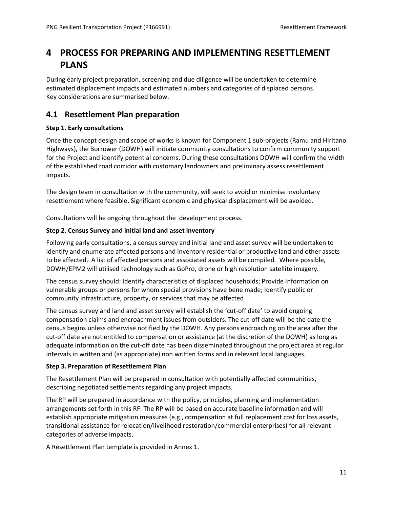# <span id="page-15-0"></span>**4 PROCESS FOR PREPARING AND IMPLEMENTING RESETTLEMENT PLANS**

During early project preparation, screening and due diligence will be undertaken to determine estimated displacement impacts and estimated numbers and categories of displaced persons. Key considerations are summarised below.

### <span id="page-15-1"></span>**4.1 Resettlement Plan preparation**

#### **Step 1. Early consultations**

Once the concept design and scope of works is known for Component 1 sub-projects (Ramu and Hiritano Highways), the Borrower (DOWH) will initiate community consultations to confirm community support for the Project and identify potential concerns. During these consultations DOWH will confirm the width of the established road corridor with customary landowners and preliminary assess resettlement impacts.

The design team in consultation with the community, will seek to avoid or minimise involuntary resettlement where feasible**.** Significant economic and physical displacement will be avoided.

Consultations will be ongoing throughout the development process.

#### **Step 2. Census Survey and initial land and asset inventory**

Following early consultations, a census survey and initial land and asset survey will be undertaken to identify and enumerate affected persons and inventory residential or productive land and other assets to be affected. A list of affected persons and associated assets will be compiled. Where possible, DOWH/EPM2 will utilised technology such as GoPro, drone or high resolution satellite imagery.

The census survey should: Identify characteristics of displaced households; Provide Information on vulnerable groups or persons for whom special provisions have bene made; Identify public or community infrastructure, property, or services that may be affected

The census survey and land and asset survey will establish the 'cut-off date' to avoid ongoing compensation claims and encroachment issues from outsiders. The cut-off date will be the date the census begins unless otherwise notified by the DOWH. Any persons encroaching on the area after the cut-off date are not entitled to compensation or assistance (at the discretion of the DOWH) as long as adequate information on the cut-off date has been disseminated throughout the project area at regular intervals in written and (as appropriate) non written forms and in relevant local languages.

#### **Step 3. Preparation of Resettlement Plan**

The Resettlement Plan will be prepared in consultation with potentially affected communities, describing negotiated settlements regarding any project impacts.

The RP will be prepared in accordance with the policy, principles, planning and implementation arrangements set forth in this RF. The RP will be based on accurate baseline information and will establish appropriate mitigation measures (e.g., compensation at full replacement cost for loss assets, transitional assistance for relocation/livelihood restoration/commercial enterprises) for all relevant categories of adverse impacts.

A Resettlement Plan template is provided in Annex 1.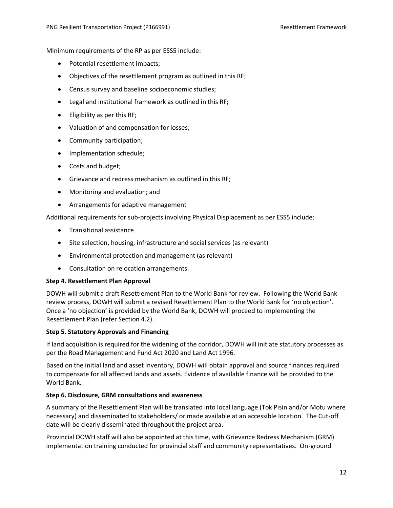Minimum requirements of the RP as per ESS5 include:

- Potential resettlement impacts;
- Objectives of the resettlement program as outlined in this RF;
- Census survey and baseline socioeconomic studies;
- Legal and institutional framework as outlined in this RF;
- Eligibility as per this RF;
- Valuation of and compensation for losses;
- Community participation;
- Implementation schedule;
- Costs and budget;
- Grievance and redress mechanism as outlined in this RF;
- Monitoring and evaluation; and
- Arrangements for adaptive management

Additional requirements for sub-projects involving Physical Displacement as per ESS5 include:

- Transitional assistance
- Site selection, housing, infrastructure and social services (as relevant)
- Environmental protection and management (as relevant)
- Consultation on relocation arrangements.

#### **Step 4. Resettlement Plan Approval**

DOWH will submit a draft Resettlement Plan to the World Bank for review. Following the World Bank review process, DOWH will submit a revised Resettlement Plan to the World Bank for 'no objection'. Once a 'no objection' is provided by the World Bank, DOWH will proceed to implementing the Resettlement Plan (refer Section 4.2).

#### **Step 5. Statutory Approvals and Financing**

If land acquisition is required for the widening of the corridor, DOWH will initiate statutory processes as per the Road Management and Fund Act 2020 and Land Act 1996.

Based on the initial land and asset inventory, DOWH will obtain approval and source finances required to compensate for all affected lands and assets. Evidence of available finance will be provided to the World Bank.

#### **Step 6. Disclosure, GRM consultations and awareness**

A summary of the Resettlement Plan will be translated into local language (Tok Pisin and/or Motu where necessary) and disseminated to stakeholders/ or made available at an accessible location. The Cut-off date will be clearly disseminated throughout the project area.

Provincial DOWH staff will also be appointed at this time, with Grievance Redress Mechanism (GRM) implementation training conducted for provincial staff and community representatives. On-ground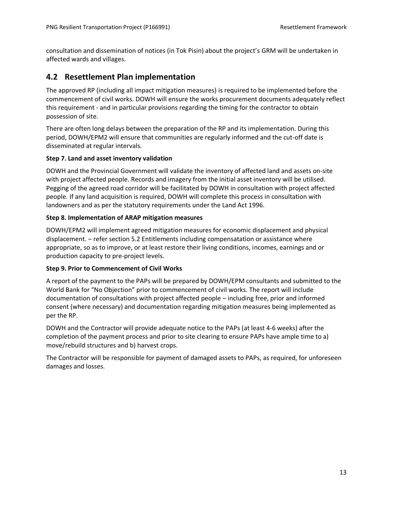consultation and dissemination of notices (in Tok Pisin) about the project's GRM will be undertaken in affected wards and villages.

### <span id="page-17-0"></span>**4.2 Resettlement Plan implementation**

The approved RP (including all impact mitigation measures) is required to be implemented before the commencement of civil works. DOWH will ensure the works procurement documents adequately reflect this requirement - and in particular provisions regarding the timing for the contractor to obtain possession of site.

There are often long delays between the preparation of the RP and its implementation. During this period, DOWH/EPM2 will ensure that communities are regularly informed and the cut-off date is disseminated at regular intervals.

#### **Step 7. Land and asset inventory validation**

DOWH and the Provincial Government will validate the inventory of affected land and assets on-site with project affected people. Records and imagery from the initial asset inventory will be utilised. Pegging of the agreed road corridor will be facilitated by DOWH in consultation with project affected people. If any land acquisition is required, DOWH will complete this process in consultation with landowners and as per the statutory requirements under the Land Act 1996.

#### **Step 8. Implementation of ARAP mitigation measures**

DOWH/EPM2 will implement agreed mitigation measures for economic displacement and physical displacement. – refer section 5.2 Entitlements including compensatation or assistance where appropriate, so as to improve, or at least restore their living conditions, incomes, earnings and or production capacity to pre-project levels.

#### **Step 9. Prior to Commencement of Civil Works**

A report of the payment to the PAPs will be prepared by DOWH/EPM consultants and submitted to the World Bank for "No Objection" prior to commencement of civil works. The report will include documentation of consultations with project affected people – including free, prior and informed consent (where necessary) and documentation regarding mitigation measures being implemented as per the RP.

DOWH and the Contractor will provide adequate notice to the PAPs (at least 4-6 weeks) after the completion of the payment process and prior to site clearing to ensure PAPs have ample time to a) move/rebuild structures and b) harvest crops.

The Contractor will be responsible for payment of damaged assets to PAPs, as required, for unforeseen damages and losses.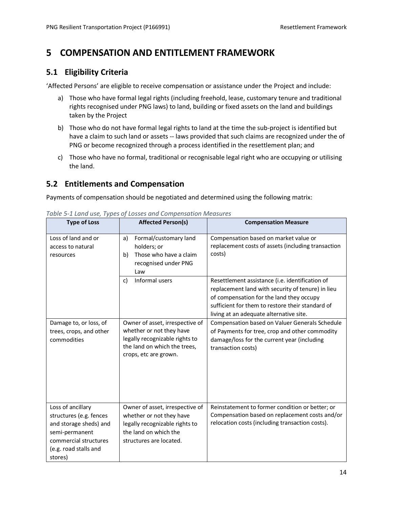# <span id="page-18-0"></span>**5 COMPENSATION AND ENTITLEMENT FRAMEWORK**

### <span id="page-18-1"></span>**5.1 Eligibility Criteria**

'Affected Persons' are eligible to receive compensation or assistance under the Project and include:

- a) Those who have formal legal rights (including freehold, lease, customary tenure and traditional rights recognised under PNG laws) to land, building or fixed assets on the land and buildings taken by the Project
- b) Those who do not have formal legal rights to land at the time the sub-project is identified but have a claim to such land or assets -- laws provided that such claims are recognized under the of PNG or become recognized through a process identified in the resettlement plan; and
- c) Those who have no formal, traditional or recognisable legal right who are occupying or utilising the land.

# <span id="page-18-2"></span>**5.2 Entitlements and Compensation**

Payments of compensation should be negotiated and determined using the following matrix:

| <b>Type of Loss</b>                                                                                                                                   | <b>Affected Person(s)</b>                                                                                                                              | <b>Compensation Measure</b>                                                                                                                                                                                                                     |
|-------------------------------------------------------------------------------------------------------------------------------------------------------|--------------------------------------------------------------------------------------------------------------------------------------------------------|-------------------------------------------------------------------------------------------------------------------------------------------------------------------------------------------------------------------------------------------------|
| Loss of land and or<br>access to natural<br>resources                                                                                                 | Formal/customary land<br>a)<br>holders; or<br>Those who have a claim<br>b)<br>recognised under PNG<br>Law                                              | Compensation based on market value or<br>replacement costs of assets (including transaction<br>costs)                                                                                                                                           |
|                                                                                                                                                       | Informal users<br>c)                                                                                                                                   | Resettlement assistance (i.e. identification of<br>replacement land with security of tenure) in lieu<br>of compensation for the land they occupy<br>sufficient for them to restore their standard of<br>living at an adequate alternative site. |
| Damage to, or loss, of<br>trees, crops, and other<br>commodities                                                                                      | Owner of asset, irrespective of<br>whether or not they have<br>legally recognizable rights to<br>the land on which the trees,<br>crops, etc are grown. | Compensation based on Valuer Generals Schedule<br>of Payments for tree, crop and other commodity<br>damage/loss for the current year (including<br>transaction costs)                                                                           |
| Loss of ancillary<br>structures (e.g. fences<br>and storage sheds) and<br>semi-permanent<br>commercial structures<br>(e.g. road stalls and<br>stores) | Owner of asset, irrespective of<br>whether or not they have<br>legally recognizable rights to<br>the land on which the<br>structures are located.      | Reinstatement to former condition or better; or<br>Compensation based on replacement costs and/or<br>relocation costs (including transaction costs).                                                                                            |

<span id="page-18-3"></span>*Table 5-1 Land use, Types of Losses and Compensation Measures*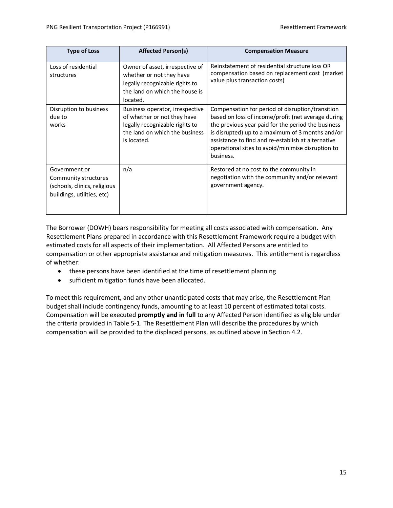| <b>Type of Loss</b>                                                                                 | <b>Affected Person(s)</b>                                                                                                                         | <b>Compensation Measure</b>                                                                                                                                                                                                                                                                                                              |
|-----------------------------------------------------------------------------------------------------|---------------------------------------------------------------------------------------------------------------------------------------------------|------------------------------------------------------------------------------------------------------------------------------------------------------------------------------------------------------------------------------------------------------------------------------------------------------------------------------------------|
| Loss of residential<br>structures                                                                   | Owner of asset, irrespective of<br>whether or not they have<br>legally recognizable rights to<br>the land on which the house is<br>located.       | Reinstatement of residential structure loss OR<br>compensation based on replacement cost (market<br>value plus transaction costs)                                                                                                                                                                                                        |
| Disruption to business<br>due to<br>works                                                           | Business operator, irrespective<br>of whether or not they have<br>legally recognizable rights to<br>the land on which the business<br>is located. | Compensation for period of disruption/transition<br>based on loss of income/profit (net average during<br>the previous year paid for the period the business<br>is disrupted) up to a maximum of 3 months and/or<br>assistance to find and re-establish at alternative<br>operational sites to avoid/minimise disruption to<br>business. |
| Government or<br>Community structures<br>(schools, clinics, religious<br>buildings, utilities, etc) | n/a                                                                                                                                               | Restored at no cost to the community in<br>negotiation with the community and/or relevant<br>government agency.                                                                                                                                                                                                                          |

The Borrower (DOWH) bears responsibility for meeting all costs associated with compensation. Any Resettlement Plans prepared in accordance with this Resettlement Framework require a budget with estimated costs for all aspects of their implementation. All Affected Persons are entitled to compensation or other appropriate assistance and mitigation measures. This entitlement is regardless of whether:

- these persons have been identified at the time of resettlement planning
- sufficient mitigation funds have been allocated.

To meet this requirement, and any other unanticipated costs that may arise, the Resettlement Plan budget shall include contingency funds, amounting to at least 10 percent of estimated total costs. Compensation will be executed **promptly and in full** to any Affected Person identified as eligible under the criteria provided in [Table 5-1.](#page-18-3) The Resettlement Plan will describe the procedures by which compensation will be provided to the displaced persons, as outlined above in Sectio[n 4.2.](#page-17-0)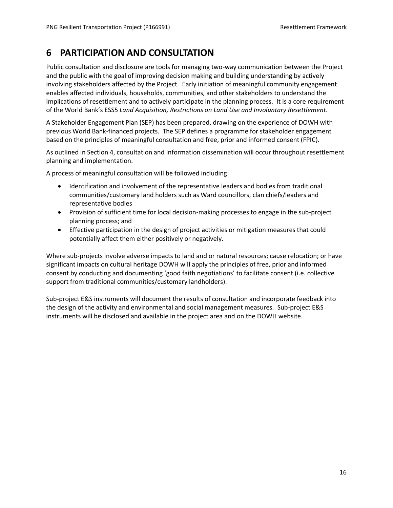# <span id="page-20-0"></span>**6 PARTICIPATION AND CONSULTATION**

Public consultation and disclosure are tools for managing two-way communication between the Project and the public with the goal of improving decision making and building understanding by actively involving stakeholders affected by the Project. Early initiation of meaningful community engagement enables affected individuals, households, communities, and other stakeholders to understand the implications of resettlement and to actively participate in the planning process. It is a core requirement of the World Bank's ESS5 *Land Acquisition, Restrictions on Land Use and Involuntary Resettlement.*

A Stakeholder Engagement Plan (SEP) has been prepared, drawing on the experience of DOWH with previous World Bank-financed projects. The SEP defines a programme for stakeholder engagement based on the principles of meaningful consultation and free, prior and informed consent (FPIC).

As outlined in Section 4, consultation and information dissemination will occur throughout resettlement planning and implementation.

A process of meaningful consultation will be followed including:

- Identification and involvement of the representative leaders and bodies from traditional communities/customary land holders such as Ward councillors, clan chiefs/leaders and representative bodies
- Provision of sufficient time for local decision-making processes to engage in the sub-project planning process; and
- Effective participation in the design of project activities or mitigation measures that could potentially affect them either positively or negatively.

Where sub-projects involve adverse impacts to land and or natural resources; cause relocation; or have significant impacts on cultural heritage DOWH will apply the principles of free, prior and informed consent by conducting and documenting 'good faith negotiations' to facilitate consent (i.e. collective support from traditional communities/customary landholders).

Sub-project E&S instruments will document the results of consultation and incorporate feedback into the design of the activity and environmental and social management measures. Sub-project E&S instruments will be disclosed and available in the project area and on the DOWH website.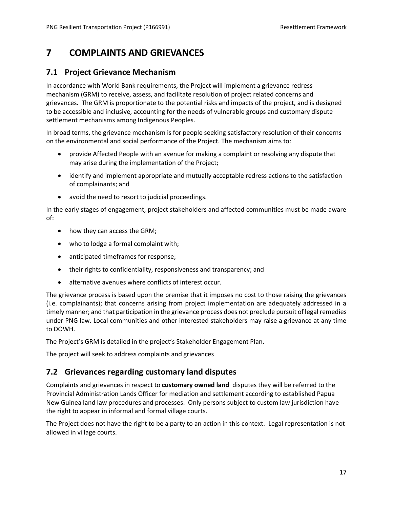# <span id="page-21-0"></span>**7 COMPLAINTS AND GRIEVANCES**

### <span id="page-21-1"></span>**7.1 Project Grievance Mechanism**

In accordance with World Bank requirements, the Project will implement a grievance redress mechanism (GRM) to receive, assess, and facilitate resolution of project related concerns and grievances. The GRM is proportionate to the potential risks and impacts of the project, and is designed to be accessible and inclusive, accounting for the needs of vulnerable groups and customary dispute settlement mechanisms among Indigenous Peoples.

In broad terms, the grievance mechanism is for people seeking satisfactory resolution of their concerns on the environmental and social performance of the Project. The mechanism aims to:

- provide Affected People with an avenue for making a complaint or resolving any dispute that may arise during the implementation of the Project;
- identify and implement appropriate and mutually acceptable redress actions to the satisfaction of complainants; and
- avoid the need to resort to judicial proceedings.

In the early stages of engagement, project stakeholders and affected communities must be made aware of:

- how they can access the GRM;
- who to lodge a formal complaint with;
- anticipated timeframes for response;
- their rights to confidentiality, responsiveness and transparency; and
- alternative avenues where conflicts of interest occur.

The grievance process is based upon the premise that it imposes no cost to those raising the grievances (i.e. complainants); that concerns arising from project implementation are adequately addressed in a timely manner; and that participation in the grievance process does not preclude pursuit of legal remedies under PNG law. Local communities and other interested stakeholders may raise a grievance at any time to DOWH.

The Project's GRM is detailed in the project's Stakeholder Engagement Plan.

The project will seek to address complaints and grievances

### <span id="page-21-2"></span>**7.2 Grievances regarding customary land disputes**

Complaints and grievances in respect to **customary owned land** disputes they will be referred to the Provincial Administration Lands Officer for mediation and settlement according to established Papua New Guinea land law procedures and processes. Only persons subject to custom law jurisdiction have the right to appear in informal and formal village courts.

The Project does not have the right to be a party to an action in this context. Legal representation is not allowed in village courts.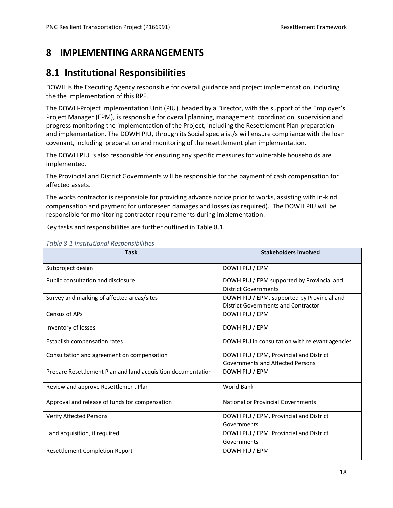# <span id="page-22-0"></span>**8 IMPLEMENTING ARRANGEMENTS**

# <span id="page-22-1"></span>**8.1 Institutional Responsibilities**

DOWH is the Executing Agency responsible for overall guidance and project implementation, including the the implementation of this RPF.

The DOWH-Project Implementation Unit (PIU), headed by a Director, with the support of the Employer's Project Manager (EPM), is responsible for overall planning, management, coordination, supervision and progress monitoring the implementation of the Project, including the Resettlement Plan preparation and implementation. The DOWH PIU, through its Social specialist/s will ensure compliance with the loan covenant, including preparation and monitoring of the resettlement plan implementation.

The DOWH PIU is also responsible for ensuring any specific measures for vulnerable households are implemented.

The Provincial and District Governments will be responsible for the payment of cash compensation for affected assets.

The works contractor is responsible for providing advance notice prior to works, assisting with in-kind compensation and payment for unforeseen damages and losses (as required). The DOWH PIU will be responsible for monitoring contractor requirements during implementation.

Key tasks and responsibilities are further outlined in Table 8.1.

| <b>Task</b>                                                  | <b>Stakeholders involved</b>                    |
|--------------------------------------------------------------|-------------------------------------------------|
| Subproject design                                            | DOWH PIU / EPM                                  |
| Public consultation and disclosure                           | DOWH PIU / EPM supported by Provincial and      |
|                                                              | <b>District Governments</b>                     |
| Survey and marking of affected areas/sites                   | DOWH PIU / EPM, supported by Provincial and     |
|                                                              | <b>District Governments and Contractor</b>      |
| Census of APs                                                | DOWH PIU / EPM                                  |
| Inventory of losses                                          | DOWH PIU / EPM                                  |
| Establish compensation rates                                 | DOWH PIU in consultation with relevant agencies |
| Consultation and agreement on compensation                   | DOWH PIU / EPM, Provincial and District         |
|                                                              | Governments and Affected Persons                |
| Prepare Resettlement Plan and land acquisition documentation | DOWH PIU / EPM                                  |
| Review and approve Resettlement Plan                         | <b>World Bank</b>                               |
| Approval and release of funds for compensation               | National or Provincial Governments              |
| <b>Verify Affected Persons</b>                               | DOWH PIU / EPM, Provincial and District         |
|                                                              | Governments                                     |
| Land acquisition, if required                                | DOWH PIU / EPM. Provincial and District         |
|                                                              | Governments                                     |
| <b>Resettlement Completion Report</b>                        | DOWH PIU / EPM                                  |

<span id="page-22-2"></span>*Table 8-1 Institutional Responsibilities*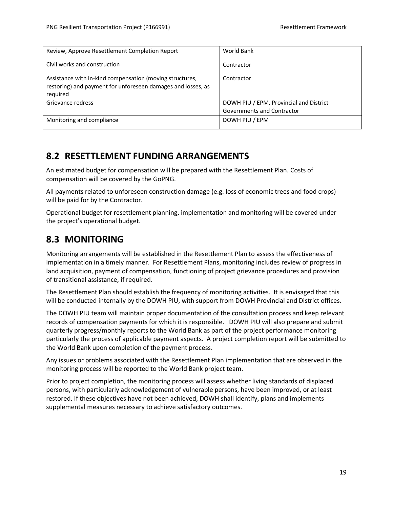| Review, Approve Resettlement Completion Report                                                                                       | World Bank                                                            |
|--------------------------------------------------------------------------------------------------------------------------------------|-----------------------------------------------------------------------|
| Civil works and construction                                                                                                         | Contractor                                                            |
| Assistance with in-kind compensation (moving structures,<br>restoring) and payment for unforeseen damages and losses, as<br>required | Contractor                                                            |
| Grievance redress                                                                                                                    | DOWH PIU / EPM, Provincial and District<br>Governments and Contractor |
| Monitoring and compliance                                                                                                            | DOWH PIU / EPM                                                        |

# <span id="page-23-0"></span>**8.2 RESETTLEMENT FUNDING ARRANGEMENTS**

An estimated budget for compensation will be prepared with the Resettlement Plan. Costs of compensation will be covered by the GoPNG.

All payments related to unforeseen construction damage (e.g. loss of economic trees and food crops) will be paid for by the Contractor.

Operational budget for resettlement planning, implementation and monitoring will be covered under the project's operational budget.

# <span id="page-23-1"></span>**8.3 MONITORING**

Monitoring arrangements will be established in the Resettlement Plan to assess the effectiveness of implementation in a timely manner. For Resettlement Plans, monitoring includes review of progress in land acquisition, payment of compensation, functioning of project grievance procedures and provision of transitional assistance, if required.

The Resettlement Plan should establish the frequency of monitoring activities. It is envisaged that this will be conducted internally by the DOWH PIU, with support from DOWH Provincial and District offices.

The DOWH PIU team will maintain proper documentation of the consultation process and keep relevant records of compensation payments for which it is responsible. DOWH PIU will also prepare and submit quarterly progress/monthly reports to the World Bank as part of the project performance monitoring particularly the process of applicable payment aspects. A project completion report will be submitted to the World Bank upon completion of the payment process.

Any issues or problems associated with the Resettlement Plan implementation that are observed in the monitoring process will be reported to the World Bank project team.

Prior to project completion, the monitoring process will assess whether living standards of displaced persons, with particularly acknowledgement of vulnerable persons, have been improved, or at least restored. If these objectives have not been achieved, DOWH shall identify, plans and implements supplemental measures necessary to achieve satisfactory outcomes.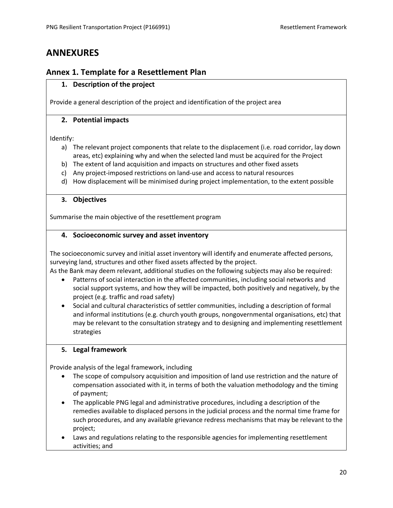# <span id="page-24-0"></span>**ANNEXURES**

### <span id="page-24-1"></span>**Annex 1. Template for a Resettlement Plan**

#### **1. Description of the project**

Provide a general description of the project and identification of the project area

#### **2. Potential impacts**

Identify:

- a) The relevant project components that relate to the displacement (i.e. road corridor, lay down areas, etc) explaining why and when the selected land must be acquired for the Project
- b) The extent of land acquisition and impacts on structures and other fixed assets
- c) Any project-imposed restrictions on land-use and access to natural resources
- d) How displacement will be minimised during project implementation, to the extent possible

#### **3. Objectives**

Summarise the main objective of the resettlement program

#### **4. Socioeconomic survey and asset inventory**

The socioeconomic survey and initial asset inventory will identify and enumerate affected persons, surveying land, structures and other fixed assets affected by the project.

As the Bank may deem relevant, additional studies on the following subjects may also be required:

- Patterns of social interaction in the affected communities, including social networks and social support systems, and how they will be impacted, both positively and negatively, by the project (e.g. traffic and road safety)
- Social and cultural characteristics of settler communities, including a description of formal and informal institutions (e.g. church youth groups, nongovernmental organisations, etc) that may be relevant to the consultation strategy and to designing and implementing resettlement strategies

#### **5. Legal framework**

Provide analysis of the legal framework, including

- The scope of compulsory acquisition and imposition of land use restriction and the nature of compensation associated with it, in terms of both the valuation methodology and the timing of payment;
- The applicable PNG legal and administrative procedures, including a description of the remedies available to displaced persons in the judicial process and the normal time frame for such procedures, and any available grievance redress mechanisms that may be relevant to the project;
- Laws and regulations relating to the responsible agencies for implementing resettlement activities; and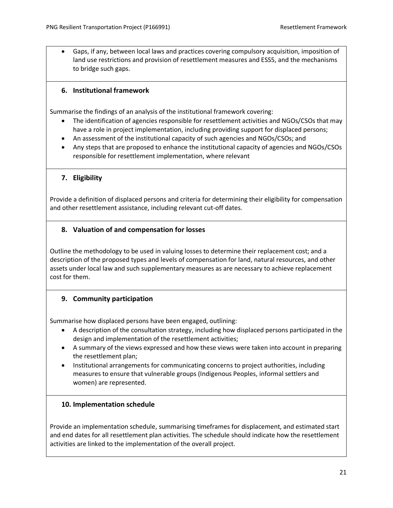• Gaps, if any, between local laws and practices covering compulsory acquisition, imposition of land use restrictions and provision of resettlement measures and ESS5, and the mechanisms to bridge such gaps.

#### **6. Institutional framework**

Summarise the findings of an analysis of the institutional framework covering:

- The identification of agencies responsible for resettlement activities and NGOs/CSOs that may have a role in project implementation, including providing support for displaced persons;
- An assessment of the institutional capacity of such agencies and NGOs/CSOs; and
- Any steps that are proposed to enhance the institutional capacity of agencies and NGOs/CSOs responsible for resettlement implementation, where relevant

#### **7. Eligibility**

Provide a definition of displaced persons and criteria for determining their eligibility for compensation and other resettlement assistance, including relevant cut-off dates.

#### **8. Valuation of and compensation for losses**

Outline the methodology to be used in valuing losses to determine their replacement cost; and a description of the proposed types and levels of compensation for land, natural resources, and other assets under local law and such supplementary measures as are necessary to achieve replacement cost for them.

#### **9. Community participation**

Summarise how displaced persons have been engaged, outlining:

- A description of the consultation strategy, including how displaced persons participated in the design and implementation of the resettlement activities;
- A summary of the views expressed and how these views were taken into account in preparing the resettlement plan;
- Institutional arrangements for communicating concerns to project authorities, including measures to ensure that vulnerable groups (Indigenous Peoples, informal settlers and women) are represented.

#### **10. Implementation schedule**

Provide an implementation schedule, summarising timeframes for displacement, and estimated start and end dates for all resettlement plan activities. The schedule should indicate how the resettlement activities are linked to the implementation of the overall project.